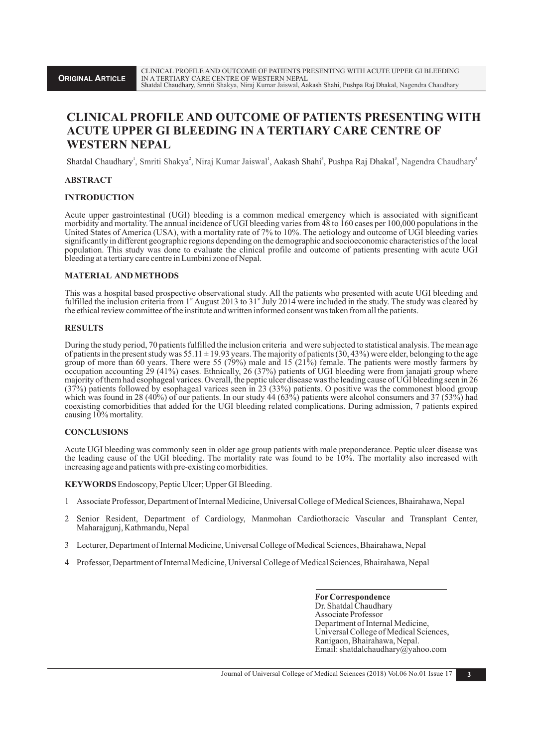# **CLINICAL PROFILE AND OUTCOME OF PATIENTS PRESENTING WITH ACUTE UPPER GI BLEEDING IN A TERTIARY CARE CENTRE OF WESTERN NEPAL**

Shatdal Chaudhary<sup>1</sup>, Smriti Shakya<sup>2</sup>, Niraj Kumar Jaiswal<sup>1</sup>, Aakash Shahi<sup>3</sup>, Pushpa Raj Dhakal<sup>3</sup>, Nagendra Chaudhary<sup>4</sup>

## **ABSTRACT**

## **INTRODUCTION**

Acute upper gastrointestinal (UGI) bleeding is a common medical emergency which is associated with significant morbidity and mortality. The annual incidence of UGI bleeding varies from 48 to 160 cases per 100,000 populations in the United States of America (USA), with a mortality rate of 7% to 10%. The aetiology and outcome of UGI bleeding varies significantly in different geographic regions depending on the demographic and socioeconomic characteristics of the local population. This study was done to evaluate the clinical profile and outcome of patients presenting with acute UGI bleeding at a tertiary care centre in Lumbini zone of Nepal.

## **MATERIAL AND METHODS**

This was a hospital based prospective observational study. All the patients who presented with acute UGI bleeding and fulfilled the inclusion criteria from 1<sup>st</sup> August 2013 to 31<sup>st</sup> July 2014 were included in the study. The study was cleared by the ethical review committee of the institute and written informed consent was taken from all the patients.

#### **RESULTS**

During the study period, 70 patients fulfilled the inclusion criteria and were subjected to statistical analysis. The mean age of patients in the present study was  $55.11 \pm 19.93$  years. The majority of patients (30, 43%) were elder, belonging to the age group of more than 60 years. There were 55 (79%) male and 15 (21%) female. The patients were mostly farmers by occupation accounting 29 (41%) cases. Ethnically, 26 (37%) patients of UGI bleeding were from janajati group where majority of them had esophageal varices. Overall, the peptic ulcer disease was the leading cause of UGI bleeding seen in 26 (37%) patients followed by esophageal varices seen in 23 (33%) patients. O positive was the commonest blood group which was found in 28 (40%) of our patients. In our study 44 (63%) patients were alcohol consumers and 37 (53%) had coexisting comorbidities that added for the UGI bleeding related complications. During admission, 7 patients expired causing 10% mortality.

#### **CONCLUSIONS**

Acute UGI bleeding was commonly seen in older age group patients with male preponderance. Peptic ulcer disease was the leading cause of the UGI bleeding. The mortality rate was found to be 10%. The mortality also increased with increasing age and patients with pre-existing co morbidities.

**KEYWORDS** Endoscopy, Peptic Ulcer; Upper GI Bleeding.

- 1 Associate Professor, Department of Internal Medicine, Universal College of Medical Sciences, Bhairahawa, Nepal
- 2 Senior Resident, Department of Cardiology, Manmohan Cardiothoracic Vascular and Transplant Center, Maharajgunj, Kathmandu, Nepal
- 3 Lecturer, Department of Internal Medicine, Universal College of Medical Sciences, Bhairahawa, Nepal
- 4 Professor, Department of Internal Medicine, Universal College of Medical Sciences, Bhairahawa, Nepal

**ForCorrespondence** Dr. Shatdal Chaudhary Associate Professor Department of Internal Medicine, Universal College of Medical Sciences, Ranigaon, Bhairahawa, Nepal. Email: shatdalchaudhary@yahoo.com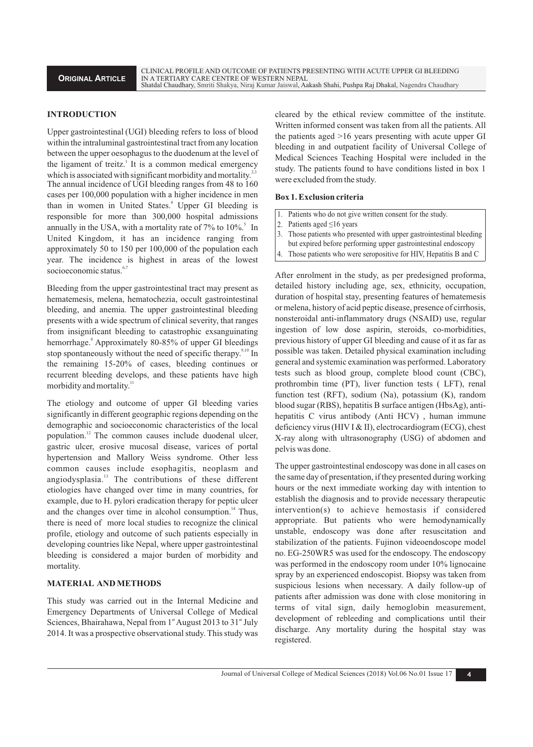CLINICAL PROFILE AND OUTCOME OF PATIENTS PRESENTING WITH ACUTE UPPER GI BLEEDING IN A TERTIARY CARE CENTRE OF WESTERN NEPAL Shatdal Chaudhary, Smriti Shakya, Niraj Kumar Jaiswal, Aakash Shahi, Pushpa Raj Dhakal, Nagendra Chaudhary

## **INTRODUCTION**

Upper gastrointestinal (UGI) bleeding refers to loss of blood within the intraluminal gastrointestinal tract from any location between the upper oesophagus to the duodenum at the level of the ligament of treitz.<sup>1</sup> It is a common medical emergency which is associated with significant morbidity and mortality.<sup>2,</sup> The annual incidence of UGI bleeding ranges from 48 to 160 cases per 100,000 population with a higher incidence in men than in women in United States.<sup>4</sup> Upper GI bleeding is responsible for more than 300,000 hospital admissions annually in the USA, with a mortality rate of 7% to 10%.<sup>5</sup> In United Kingdom, it has an incidence ranging from approximately 50 to 150 per 100,000 of the population each year. The incidence is highest in areas of the lowest socioeconomic status.<sup>6,7</sup>

Bleeding from the upper gastrointestinal tract may present as hematemesis, melena, hematochezia, occult gastrointestinal bleeding, and anemia. The upper gastrointestinal bleeding presents with a wide spectrum of clinical severity, that ranges from insignificant bleeding to catastrophic exsanguinating hemorrhage.<sup>8</sup> Approximately 80-85% of upper GI bleedings stop spontaneously without the need of specific therapy. <sup>9,10</sup> In the remaining 15-20% of cases, bleeding continues or recurrent bleeding develops, and these patients have high morbidity and mortality.<sup>11</sup>

The etiology and outcome of upper GI bleeding varies significantly in different geographic regions depending on the demographic and socioeconomic characteristics of the local population. $\frac{12}{12}$  The common causes include duodenal ulcer, gastric ulcer, erosive mucosal disease, varices of portal hypertension and Mallory Weiss syndrome. Other less common causes include esophagitis, neoplasm and angiodysplasia.<sup>13</sup> The contributions of these different etiologies have changed over time in many countries, for example, due to H. pylori eradication therapy for peptic ulcer and the changes over time in alcohol consumption.<sup>14</sup> Thus, there is need of more local studies to recognize the clinical profile, etiology and outcome of such patients especially in developing countries like Nepal, where upper gastrointestinal bleeding is considered a major burden of morbidity and mortality.

## **MATERIAL AND METHODS**

This study was carried out in the Internal Medicine and Emergency Departments of Universal College of Medical Sciences, Bhairahawa, Nepal from  $1<sup>st</sup>$  August 2013 to 31 $<sup>st</sup>$  July</sup> 2014. It was a prospective observational study. This study was cleared by the ethical review committee of the institute. Written informed consent was taken from all the patients. All the patients aged >16 years presenting with acute upper GI bleeding in and outpatient facility of Universal College of Medical Sciences Teaching Hospital were included in the study. The patients found to have conditions listed in box 1 were excluded from the study.

## **Box 1. Exclusion criteria**

- 1. Patients who do not give written consent for the study.
- 2. Patients aged ≤16 years
- 3. Those patients who presented with upper gastrointestinal bleeding but expired before performing upper gastrointestinal endoscopy
- Those patients who were seropositive for HIV, Hepatitis B and C

After enrolment in the study, as per predesigned proforma, detailed history including age, sex, ethnicity, occupation, duration of hospital stay, presenting features of hematemesis or melena, history of acid peptic disease, presence of cirrhosis, nonsteroidal anti-inflammatory drugs (NSAID) use, regular ingestion of low dose aspirin, steroids, co-morbidities, previous history of upper GI bleeding and cause of it as far as possible was taken. Detailed physical examination including general and systemic examination was performed. Laboratory tests such as blood group, complete blood count (CBC), prothrombin time (PT), liver function tests ( LFT), renal function test (RFT), sodium (Na), potassium (K), random blood sugar (RBS), hepatitis B surface antigen (HbsAg), antihepatitis C virus antibody (Anti HCV) , human immune deficiency virus (HIV I & II), electrocardiogram (ECG), chest X-ray along with ultrasonography (USG) of abdomen and pelvis was done.

The upper gastrointestinal endoscopy was done in all cases on the same day of presentation, if they presented during working hours or the next immediate working day with intention to establish the diagnosis and to provide necessary therapeutic intervention(s) to achieve hemostasis if considered appropriate. But patients who were hemodynamically unstable, endoscopy was done after resuscitation and stabilization of the patients. Fujinon videoendoscope model no. EG-250WR5 was used for the endoscopy. The endoscopy was performed in the endoscopy room under 10% lignocaine spray by an experienced endoscopist. Biopsy was taken from suspicious lesions when necessary. A daily follow-up of patients after admission was done with close monitoring in terms of vital sign, daily hemoglobin measurement, development of rebleeding and complications until their discharge. Any mortality during the hospital stay was registered.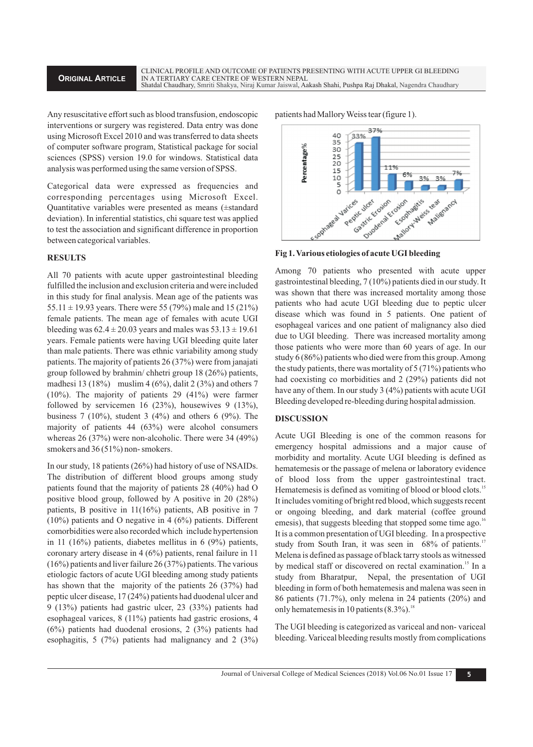# **ORIGINAL ARTICLE**

CLINICAL PROFILE AND OUTCOME OF PATIENTS PRESENTING WITH ACUTE UPPER GI BLEEDING IN A TERTIARY CARE CENTRE OF WESTERN NEPAL Shatdal Chaudhary, Smriti Shakya, Niraj Kumar Jaiswal, Aakash Shahi, Pushpa Raj Dhakal, Nagendra Chaudhary

Any resuscitative effort such as blood transfusion, endoscopic interventions or surgery was registered. Data entry was done using Microsoft Excel 2010 and was transferred to data sheets of computer software program, Statistical package for social sciences (SPSS) version 19.0 for windows. Statistical data analysis was performed using the same version of SPSS.

Categorical data were expressed as frequencies and corresponding percentages using Microsoft Excel. Quantitative variables were presented as means (±standard deviation). In inferential statistics, chi square test was applied to test the association and significant difference in proportion between categorical variables.

# **RESULTS**

All 70 patients with acute upper gastrointestinal bleeding fulfilled the inclusion and exclusion criteria and were included in this study for final analysis. Mean age of the patients was 55.11  $\pm$  19.93 years. There were 55 (79%) male and 15 (21%) female patients. The mean age of females with acute UGI bleeding was  $62.4 \pm 20.03$  years and males was  $53.13 \pm 19.61$ years. Female patients were having UGI bleeding quite later than male patients. There was ethnic variability among study patients. The majority of patients 26 (37%) were from janajati group followed by brahmin/ chhetri group 18 (26%) patients, madhesi 13 (18%) muslim 4 (6%), dalit 2 (3%) and others 7 (10%). The majority of patients 29 (41%) were farmer followed by servicemen 16 (23%), housewives 9 (13%), business 7 (10%), student 3 (4%) and others 6 (9%). The majority of patients 44 (63%) were alcohol consumers whereas 26 (37%) were non-alcoholic. There were 34 (49%) smokers and 36 (51%) non-smokers.

In our study, 18 patients (26%) had history of use of NSAIDs. The distribution of different blood groups among study patients found that the majority of patients 28 (40%) had O positive blood group, followed by A positive in 20 (28%) patients, B positive in 11(16%) patients, AB positive in 7 (10%) patients and O negative in 4 (6%) patients. Different comorbidities were also recorded which include hypertension in 11 (16%) patients, diabetes mellitus in 6 (9%) patients, coronary artery disease in 4 (6%) patients, renal failure in 11 (16%) patients and liver failure 26 (37%) patients. The various etiologic factors of acute UGI bleeding among study patients has shown that the majority of the patients 26 (37%) had peptic ulcer disease, 17 (24%) patients had duodenal ulcer and 9 (13%) patients had gastric ulcer, 23 (33%) patients had esophageal varices, 8 (11%) patients had gastric erosions, 4 (6%) patients had duodenal erosions, 2 (3%) patients had esophagitis, 5 (7%) patients had malignancy and 2 (3%) patients had Mallory Weiss tear (figure 1).



**Fig 1. Various etiologies of acute UGI bleeding**

Among 70 patients who presented with acute upper gastrointestinal bleeding, 7 (10%) patients died in our study. It was shown that there was increased mortality among those patients who had acute UGI bleeding due to peptic ulcer disease which was found in 5 patients. One patient of esophageal varices and one patient of malignancy also died due to UGI bleeding. There was increased mortality among those patients who were more than 60 years of age. In our study 6 (86%) patients who died were from this group. Among the study patients, there was mortality of 5 (71%) patients who had coexisting co morbidities and 2 (29%) patients did not have any of them. In our study 3 (4%) patients with acute UGI Bleeding developed re-bleeding during hospital admission.

#### **DISCUSSION**

Acute UGI Bleeding is one of the common reasons for emergency hospital admissions and a major cause of morbidity and mortality. Acute UGI bleeding is defined as hematemesis or the passage of melena or laboratory evidence of blood loss from the upper gastrointestinal tract. Hematemesis is defined as vomiting of blood or blood clots.<sup>15</sup> It includes vomiting of bright red blood, which suggests recent or ongoing bleeding, and dark material (coffee ground emesis), that suggests bleeding that stopped some time ago.<sup>16</sup> It is a common presentation of UGI bleeding. In a prospective study from South Iran, it was seen in  $68\%$  of patients.<sup>17</sup> Melena is defined as passage of black tarry stools as witnessed by medical staff or discovered on rectal examination.<sup>15</sup> In a study from Bharatpur, Nepal, the presentation of UGI bleeding in form of both hematemesis and malena was seen in 86 patients (71.7%), only melena in 24 patients (20%) and only hematemesis in 10 patients  $(8.3\%)$ .<sup>18</sup>

The UGI bleeding is categorized as variceal and non- variceal bleeding. Variceal bleeding results mostly from complications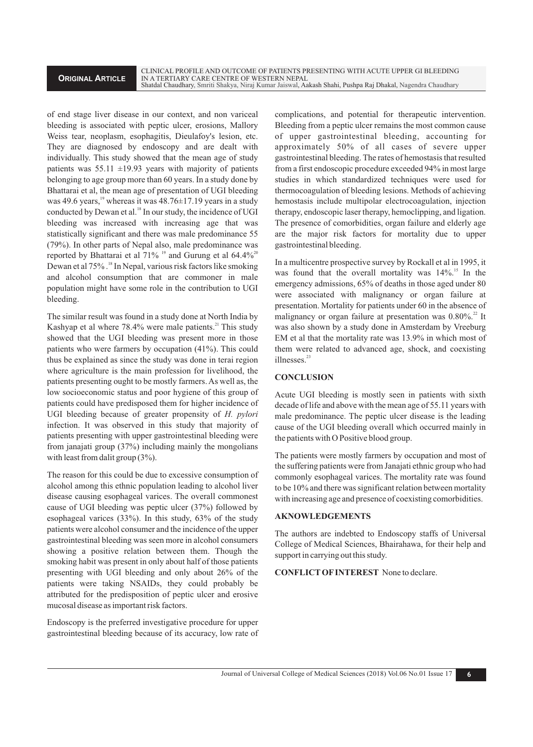CLINICAL PROFILE AND OUTCOME OF PATIENTS PRESENTING WITH ACUTE UPPER GI BLEEDING IN A TERTIARY CARE CENTRE OF WESTERN NEPAL Shatdal Chaudhary, Smriti Shakya, Niraj Kumar Jaiswal, Aakash Shahi, Pushpa Raj Dhakal, Nagendra Chaudhary

of end stage liver disease in our context, and non variceal bleeding is associated with peptic ulcer, erosions, Mallory Weiss tear, neoplasm, esophagitis, Dieulafoy's lesion, etc. They are diagnosed by endoscopy and are dealt with individually. This study showed that the mean age of study patients was  $55.11 \pm 19.93$  years with majority of patients belonging to age group more than 60 years. In a study done by Bhattarai et al, the mean age of presentation of UGI bleeding was 49.6 years, <sup>19</sup> whereas it was  $48.76\pm17.19$  years in a study conducted by Dewan et al.<sup>18</sup> In our study, the incidence of UGI bleeding was increased with increasing age that was statistically significant and there was male predominance 55 (79%). In other parts of Nepal also, male predominance was reported by Bhattarai et al  $71\%$  <sup>19</sup> and Gurung et al  $64.4\%$ <sup>20</sup> Dewan et al 75% .<sup>18</sup> In Nepal, various risk factors like smoking and alcohol consumption that are commoner in male population might have some role in the contribution to UGI bleeding.

The similar result was found in a study done at North India by Kashyap et al where  $78.4\%$  were male patients.<sup>21</sup> This study showed that the UGI bleeding was present more in those patients who were farmers by occupation (41%). This could thus be explained as since the study was done in terai region where agriculture is the main profession for livelihood, the patients presenting ought to be mostly farmers. As well as, the low socioeconomic status and poor hygiene of this group of patients could have predisposed them for higher incidence of UGI bleeding because of greater propensity of *H. pylori*  infection. It was observed in this study that majority of patients presenting with upper gastrointestinal bleeding were from janajati group (37%) including mainly the mongolians with least from dalit group (3%).

The reason for this could be due to excessive consumption of alcohol among this ethnic population leading to alcohol liver disease causing esophageal varices. The overall commonest cause of UGI bleeding was peptic ulcer (37%) followed by esophageal varices (33%). In this study, 63% of the study patients were alcohol consumer and the incidence of the upper gastrointestinal bleeding was seen more in alcohol consumers showing a positive relation between them. Though the smoking habit was present in only about half of those patients presenting with UGI bleeding and only about 26% of the patients were taking NSAIDs, they could probably be attributed for the predisposition of peptic ulcer and erosive mucosal disease as important risk factors.

Endoscopy is the preferred investigative procedure for upper gastrointestinal bleeding because of its accuracy, low rate of

complications, and potential for therapeutic intervention. Bleeding from a peptic ulcer remains the most common cause of upper gastrointestinal bleeding, accounting for approximately 50% of all cases of severe upper gastrointestinal bleeding. The rates of hemostasis that resulted from a first endoscopic procedure exceeded 94% in most large studies in which standardized techniques were used for thermocoagulation of bleeding lesions. Methods of achieving hemostasis include multipolar electrocoagulation, injection therapy, endoscopic laser therapy, hemoclipping, and ligation. The presence of comorbidities, organ failure and elderly age are the major risk factors for mortality due to upper gastrointestinal bleeding.

In a multicentre prospective survey by Rockall et al in 1995, it was found that the overall mortality was 14%.<sup>15</sup> In the emergency admissions, 65% of deaths in those aged under 80 were associated with malignancy or organ failure at presentation. Mortality for patients under 60 in the absence of malignancy or organ failure at presentation was  $0.80\%$ .<sup>22</sup> It was also shown by a study done in Amsterdam by Vreeburg EM et al that the mortality rate was 13.9% in which most of them were related to advanced age, shock, and coexisting illnesses.<sup>23</sup>

#### **CONCLUSION**

Acute UGI bleeding is mostly seen in patients with sixth decade of life and above with the mean age of 55.11 years with male predominance. The peptic ulcer disease is the leading cause of the UGI bleeding overall which occurred mainly in the patients with O Positive blood group.

The patients were mostly farmers by occupation and most of the suffering patients were from Janajati ethnic group who had commonly esophageal varices. The mortality rate was found to be 10% and there was significant relation between mortality with increasing age and presence of coexisting comorbidities.

# **AKNOWLEDGEMENTS**

The authors are indebted to Endoscopy staffs of Universal College of Medical Sciences, Bhairahawa, for their help and support in carrying out this study.

#### **CONFLICTOFINTEREST** None to declare.